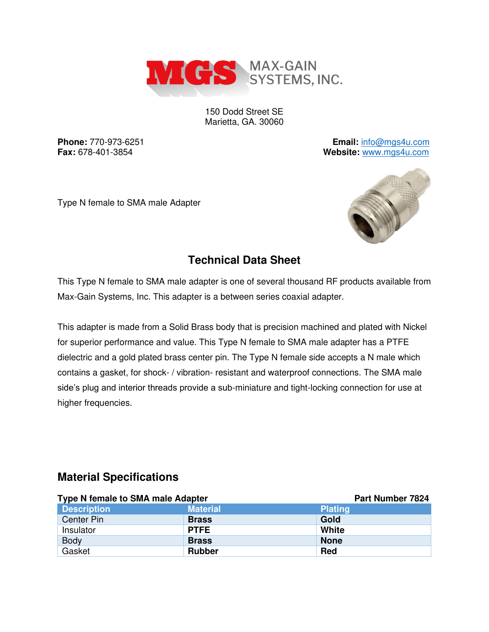

150 Dodd Street SE Marietta, GA. 30060

**Phone:** 770-973-6251 **Email:** [info@mgs4u.com](mailto:info@mgs4u.com) **Fax:** 678-401-3854 **Website:** [www.mgs4u.com](http://www.mgs4u.com/)

Type N female to SMA male Adapter



## **Technical Data Sheet**

This Type N female to SMA male adapter is one of several thousand RF products available from Max-Gain Systems, Inc. This adapter is a between series coaxial adapter.

This adapter is made from a Solid Brass body that is precision machined and plated with Nickel for superior performance and value. This Type N female to SMA male adapter has a PTFE dielectric and a gold plated brass center pin. The Type N female side accepts a N male which contains a gasket, for shock- / vibration- resistant and waterproof connections. The SMA male side's plug and interior threads provide a sub-miniature and tight-locking connection for use at higher frequencies.

#### **Material Specifications**

| Type N female to SMA male Adapter |                 | <b>Part Number 7824</b> |
|-----------------------------------|-----------------|-------------------------|
| <b>Description</b>                | <b>Material</b> | <b>Plating</b>          |
| Center Pin                        | <b>Brass</b>    | Gold                    |
| Insulator                         | <b>PTFE</b>     | White                   |
| <b>Body</b>                       | <b>Brass</b>    | <b>None</b>             |
| Gasket                            | <b>Rubber</b>   | <b>Red</b>              |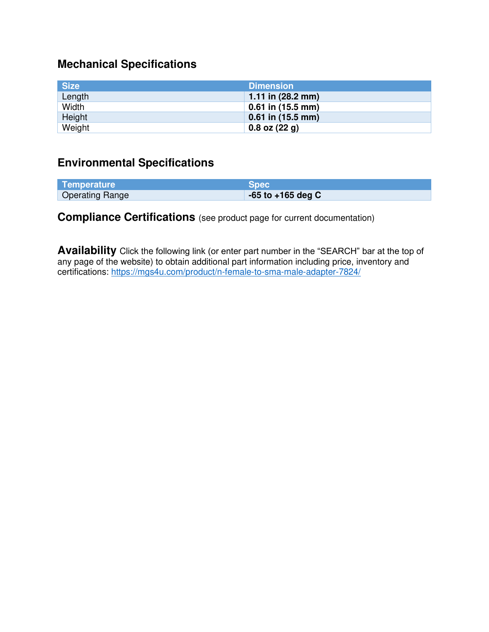# **Mechanical Specifications**

| <b>Size</b> | <b>Dimension</b>            |
|-------------|-----------------------------|
| Length      | 1.11 in $(28.2 \text{ mm})$ |
| Width       | $0.61$ in (15.5 mm)         |
| Height      | $0.61$ in $(15.5$ mm)       |
| Weight      | $0.8$ oz $(22 g)$           |

### **Environmental Specifications**

| Temperature            | <b>Spec</b>           |
|------------------------|-----------------------|
| <b>Operating Range</b> | $-65$ to $+165$ deg C |

### **Compliance Certifications** (see product page for current documentation)

**Availability** Click the following link (or enter part number in the "SEARCH" bar at the top of any page of the website) to obtain additional part information including price, inventory and certifications:<https://mgs4u.com/product/n-female-to-sma-male-adapter-7824/>